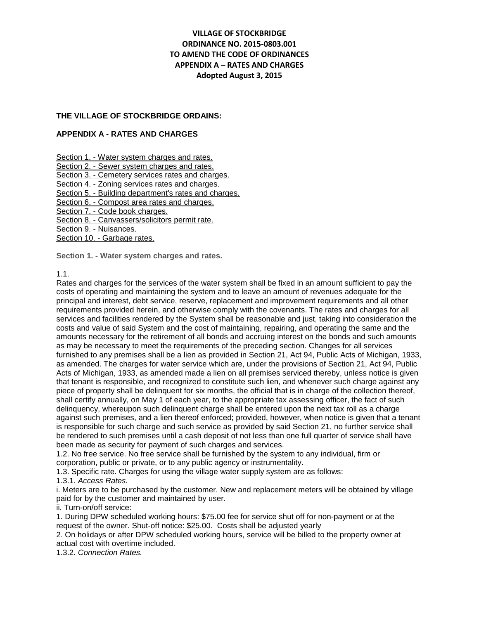# **VILLAGE OF STOCKBRIDGE ORDINANCE NO. 2015-0803.001 TO AMEND THE CODE OF ORDINANCES APPENDIX A – RATES AND CHARGES Adopted August 3, 2015**

#### **THE VILLAGE OF STOCKBRIDGE ORDAINS:**

#### **APPENDIX A - RATES AND CHARGES**

Section 1. - [Water system charges and rates.](http://library.municode.com/HTML/13241/level2/SUHITA_APXARACH.html#SUHITA_APXARACH_S1WASYCHRA)

Section 2. - [Sewer system charges and rates.](http://library.municode.com/HTML/13241/level2/SUHITA_APXARACH.html#SUHITA_APXARACH_S2SESYCHRA)

Section 3. - [Cemetery services rates and charges.](http://library.municode.com/HTML/13241/level2/SUHITA_APXARACH.html#SUHITA_APXARACH_S3CESERACH)

Section 4. - [Zoning services rates and charges.](http://library.municode.com/HTML/13241/level2/SUHITA_APXARACH.html#SUHITA_APXARACH_S4ZOSERACH)

Section 5. - [Building department's rates and charges.](http://library.municode.com/HTML/13241/level2/SUHITA_APXARACH.html#SUHITA_APXARACH_S5BUDERACH)

Section 6. - [Compost area rates and charges.](http://library.municode.com/HTML/13241/level2/SUHITA_APXARACH.html#SUHITA_APXARACH_S6COARRACH)

Section 7. - [Code book charges.](http://library.municode.com/HTML/13241/level2/SUHITA_APXARACH.html#SUHITA_APXARACH_S7COBOCH)

Section 8. - [Canvassers/solicitors permit rate.](http://library.municode.com/HTML/13241/level2/SUHITA_APXARACH.html#SUHITA_APXARACH_S8CASOPERA)

[Section 9. -](http://library.municode.com/HTML/13241/level2/SUHITA_APXARACH.html#SUHITA_APXARACH_S9NU) Nuisances.

Section 10. - [Garbage rates.](http://library.municode.com/HTML/13241/level2/SUHITA_APXARACH.html#SUHITA_APXARACH_S10GARA)

**Section 1. - Water system charges and rates.**

# 1.1.

Rates and charges for the services of the water system shall be fixed in an amount sufficient to pay the costs of operating and maintaining the system and to leave an amount of revenues adequate for the principal and interest, debt service, reserve, replacement and improvement requirements and all other requirements provided herein, and otherwise comply with the covenants. The rates and charges for all services and facilities rendered by the System shall be reasonable and just, taking into consideration the costs and value of said System and the cost of maintaining, repairing, and operating the same and the amounts necessary for the retirement of all bonds and accruing interest on the bonds and such amounts as may be necessary to meet the requirements of the preceding section. Changes for all services furnished to any premises shall be a lien as provided in Section 21, Act 94, Public Acts of Michigan, 1933, as amended. The charges for water service which are, under the provisions of Section 21, Act 94, Public Acts of Michigan, 1933, as amended made a lien on all premises serviced thereby, unless notice is given that tenant is responsible, and recognized to constitute such lien, and whenever such charge against any piece of property shall be delinquent for six months, the official that is in charge of the collection thereof, shall certify annually, on May 1 of each year, to the appropriate tax assessing officer, the fact of such delinquency, whereupon such delinquent charge shall be entered upon the next tax roll as a charge against such premises, and a lien thereof enforced; provided, however, when notice is given that a tenant is responsible for such charge and such service as provided by said Section 21, no further service shall be rendered to such premises until a cash deposit of not less than one full quarter of service shall have been made as security for payment of such charges and services.

1.2. No free service. No free service shall be furnished by the system to any individual, firm or corporation, public or private, or to any public agency or instrumentality.

1.3. Specific rate. Charges for using the village water supply system are as follows:

1.3.1. *Access Rates.*

i. Meters are to be purchased by the customer. New and replacement meters will be obtained by village paid for by the customer and maintained by user.

ii. Turn-on/off service:

1. During DPW scheduled working hours: \$75.00 fee for service shut off for non-payment or at the request of the owner. Shut-off notice: \$25.00. Costs shall be adjusted yearly

2. On holidays or after DPW scheduled working hours, service will be billed to the property owner at actual cost with overtime included.

1.3.2. *Connection Rates.*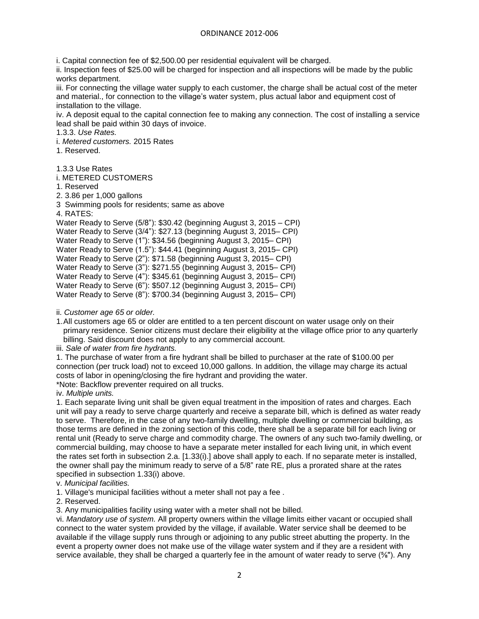i. Capital connection fee of \$2,500.00 per residential equivalent will be charged.

ii. Inspection fees of \$25.00 will be charged for inspection and all inspections will be made by the public works department.

iii. For connecting the village water supply to each customer, the charge shall be actual cost of the meter and material., for connection to the village's water system, plus actual labor and equipment cost of installation to the village.

iv. A deposit equal to the capital connection fee to making any connection. The cost of installing a service lead shall be paid within 30 days of invoice.

1.3.3. *Use Rates.*

i. *Metered customers.* 2015 Rates

1. Reserved.

1.3.3 Use Rates

i. METERED CUSTOMERS

1. Reserved

2. 3.86 per 1,000 gallons

3 Swimming pools for residents; same as above

```
4. RATES:
```
Water Ready to Serve (5/8"): \$30.42 (beginning August 3, 2015 – CPI) Water Ready to Serve (3/4"): \$27.13 (beginning August 3, 2015– CPI) Water Ready to Serve (1"): \$34.56 (beginning August 3, 2015– CPI) Water Ready to Serve (1.5"): \$44.41 (beginning August 3, 2015– CPI) Water Ready to Serve (2"): \$71.58 (beginning August 3, 2015– CPI) Water Ready to Serve (3"): \$271.55 (beginning August 3, 2015– CPI)

Water Ready to Serve (4"): \$345.61 (beginning August 3, 2015– CPI)

Water Ready to Serve (6"): \$507.12 (beginning August 3, 2015– CPI)

Water Ready to Serve (8"): \$700.34 (beginning August 3, 2015– CPI)

ii. *Customer age 65 or older.*

1.All customers age 65 or older are entitled to a ten percent discount on water usage only on their primary residence. Senior citizens must declare their eligibility at the village office prior to any quarterly billing. Said discount does not apply to any commercial account.

iii. *Sale of water from fire hydrants.*

1. The purchase of water from a fire hydrant shall be billed to purchaser at the rate of \$100.00 per connection (per truck load) not to exceed 10,000 gallons. In addition, the village may charge its actual costs of labor in opening/closing the fire hydrant and providing the water. \*Note: Backflow preventer required on all trucks.

iv. *Multiple units.*

1. Each separate living unit shall be given equal treatment in the imposition of rates and charges. Each unit will pay a ready to serve charge quarterly and receive a separate bill, which is defined as water ready to serve. Therefore, in the case of any two-family dwelling, multiple dwelling or commercial building, as those terms are defined in the zoning section of this code, there shall be a separate bill for each living or rental unit (Ready to serve charge and commodity charge. The owners of any such two-family dwelling, or commercial building, may choose to have a separate meter installed for each living unit, in which event the rates set forth in subsection 2.a. [1.33(i).] above shall apply to each. If no separate meter is installed, the owner shall pay the minimum ready to serve of a 5/8" rate RE, plus a prorated share at the rates specified in subsection 1.33(i) above.

v. *Municipal facilities.*

1. Village's municipal facilities without a meter shall not pay a fee .

2. Reserved.

3. Any municipalities facility using water with a meter shall not be billed.

vi. *Mandatory use of system.* All property owners within the village limits either vacant or occupied shall connect to the water system provided by the village, if available. Water service shall be deemed to be available if the village supply runs through or adjoining to any public street abutting the property. In the event a property owner does not make use of the village water system and if they are a resident with service available, they shall be charged a quarterly fee in the amount of water ready to serve (⅝"). Any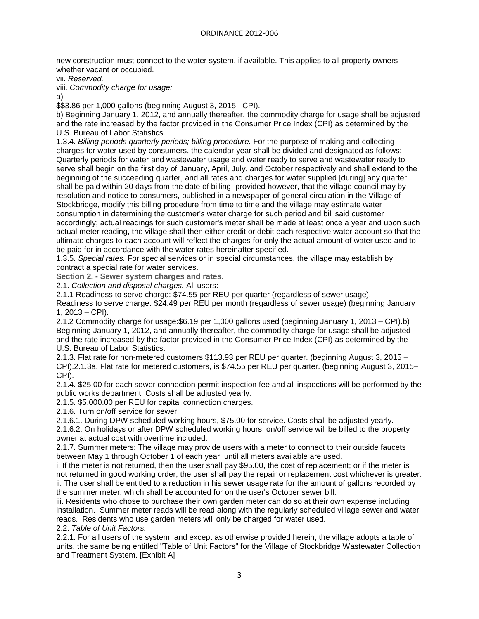new construction must connect to the water system, if available. This applies to all property owners whether vacant or occupied.

vii. *Reserved.*

viii. *Commodity charge for usage:*

a)

\$\$3.86 per 1,000 gallons (beginning August 3, 2015 –CPI).

b) Beginning January 1, 2012, and annually thereafter, the commodity charge for usage shall be adjusted and the rate increased by the factor provided in the Consumer Price Index (CPI) as determined by the U.S. Bureau of Labor Statistics.

1.3.4. *Billing periods quarterly periods; billing procedure.* For the purpose of making and collecting charges for water used by consumers, the calendar year shall be divided and designated as follows: Quarterly periods for water and wastewater usage and water ready to serve and wastewater ready to serve shall begin on the first day of January, April, July, and October respectively and shall extend to the beginning of the succeeding quarter, and all rates and charges for water supplied [during] any quarter shall be paid within 20 days from the date of billing, provided however, that the village council may by resolution and notice to consumers, published in a newspaper of general circulation in the Village of Stockbridge, modify this billing procedure from time to time and the village may estimate water consumption in determining the customer's water charge for such period and bill said customer accordingly; actual readings for such customer's meter shall be made at least once a year and upon such actual meter reading, the village shall then either credit or debit each respective water account so that the ultimate charges to each account will reflect the charges for only the actual amount of water used and to be paid for in accordance with the water rates hereinafter specified.

1.3.5. *Special rates.* For special services or in special circumstances, the village may establish by contract a special rate for water services.

**Section 2. - Sewer system charges and rates.**

2.1. *Collection and disposal charges.* All users:

2.1.1 Readiness to serve charge: \$74.55 per REU per quarter (regardless of sewer usage).

Readiness to serve charge: \$24.49 per REU per month (regardless of sewer usage) (beginning January 1, 2013 – CPI).

2.1.2 Commodity charge for usage:\$6.19 per 1,000 gallons used (beginning January 1, 2013 – CPI).b) Beginning January 1, 2012, and annually thereafter, the commodity charge for usage shall be adjusted and the rate increased by the factor provided in the Consumer Price Index (CPI) as determined by the U.S. Bureau of Labor Statistics.

2.1.3. Flat rate for non-metered customers \$113.93 per REU per quarter. (beginning August 3, 2015 – CPI).2.1.3a. Flat rate for metered customers, is \$74.55 per REU per quarter. (beginning August 3, 2015– CPI).

2.1.4. \$25.00 for each sewer connection permit inspection fee and all inspections will be performed by the public works department. Costs shall be adjusted yearly.

2.1.5. \$5,000.00 per REU for capital connection charges.

2.1.6. Turn on/off service for sewer:

2.1.6.1. During DPW scheduled working hours, \$75.00 for service. Costs shall be adjusted yearly.

2.1.6.2. On holidays or after DPW scheduled working hours, on/off service will be billed to the property owner at actual cost with overtime included.

2.1.7. Summer meters: The village may provide users with a meter to connect to their outside faucets between May 1 through October 1 of each year, until all meters available are used.

i. If the meter is not returned, then the user shall pay \$95.00, the cost of replacement; or if the meter is not returned in good working order, the user shall pay the repair or replacement cost whichever is greater. ii. The user shall be entitled to a reduction in his sewer usage rate for the amount of gallons recorded by the summer meter, which shall be accounted for on the user's October sewer bill.

iii. Residents who chose to purchase their own garden meter can do so at their own expense including installation. Summer meter reads will be read along with the regularly scheduled village sewer and water reads. Residents who use garden meters will only be charged for water used.

2.2. *Table of Unit Factors.*

2.2.1. For all users of the system, and except as otherwise provided herein, the village adopts a table of units, the same being entitled "Table of Unit Factors" for the Village of Stockbridge Wastewater Collection and Treatment System. [Exhibit A]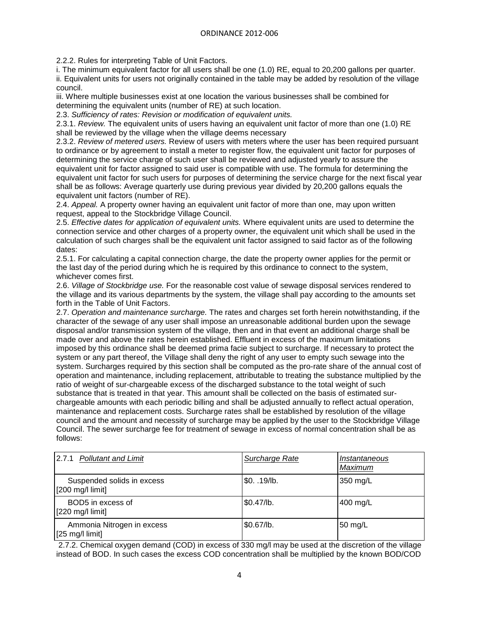2.2.2. Rules for interpreting Table of Unit Factors.

i. The minimum equivalent factor for all users shall be one (1.0) RE, equal to 20,200 gallons per quarter. ii. Equivalent units for users not originally contained in the table may be added by resolution of the village council.

iii. Where multiple businesses exist at one location the various businesses shall be combined for determining the equivalent units (number of RE) at such location.

2.3. *Sufficiency of rates: Revision or modification of equivalent units.*

2.3.1. *Review.* The equivalent units of users having an equivalent unit factor of more than one (1.0) RE shall be reviewed by the village when the village deems necessary

2.3.2. *Review of metered users.* Review of users with meters where the user has been required pursuant to ordinance or by agreement to install a meter to register flow, the equivalent unit factor for purposes of determining the service charge of such user shall be reviewed and adjusted yearly to assure the equivalent unit for factor assigned to said user is compatible with use. The formula for determining the equivalent unit factor for such users for purposes of determining the service charge for the next fiscal year shall be as follows: Average quarterly use during previous year divided by 20,200 gallons equals the equivalent unit factors (number of RE).

2.4. *Appeal.* A property owner having an equivalent unit factor of more than one, may upon written request, appeal to the Stockbridge Village Council.

2.5. *Effective dates for application of equivalent units.* Where equivalent units are used to determine the connection service and other charges of a property owner, the equivalent unit which shall be used in the calculation of such charges shall be the equivalent unit factor assigned to said factor as of the following dates:

2.5.1. For calculating a capital connection charge, the date the property owner applies for the permit or the last day of the period during which he is required by this ordinance to connect to the system, whichever comes first.

2.6. *Village of Stockbridge use.* For the reasonable cost value of sewage disposal services rendered to the village and its various departments by the system, the village shall pay according to the amounts set forth in the Table of Unit Factors.

2.7. *Operation and maintenance surcharge.* The rates and charges set forth herein notwithstanding, if the character of the sewage of any user shall impose an unreasonable additional burden upon the sewage disposal and/or transmission system of the village, then and in that event an additional charge shall be made over and above the rates herein established. Effluent in excess of the maximum limitations imposed by this ordinance shall be deemed prima facie subject to surcharge. If necessary to protect the system or any part thereof, the Village shall deny the right of any user to empty such sewage into the system. Surcharges required by this section shall be computed as the pro-rate share of the annual cost of operation and maintenance, including replacement, attributable to treating the substance multiplied by the ratio of weight of sur-chargeable excess of the discharged substance to the total weight of such substance that is treated in that year. This amount shall be collected on the basis of estimated surchargeable amounts with each periodic billing and shall be adjusted annually to reflect actual operation, maintenance and replacement costs. Surcharge rates shall be established by resolution of the village council and the amount and necessity of surcharge may be applied by the user to the Stockbridge Village Council. The sewer surcharge fee for treatment of sewage in excess of normal concentration shall be as follows:

| 2.7.1 Pollutant and Limit                               | Surcharge Rate | Instantaneous<br>Maximum |
|---------------------------------------------------------|----------------|--------------------------|
| Suspended solids in excess<br>[200 mg/l limit]          | $$0. .19$ /lb. | 350 mg/L                 |
| BOD5 in excess of<br>$[220$ mg/l limit]                 | $$0.47$ /lb.   | 400 mg/L                 |
| Ammonia Nitrogen in excess<br>$[25 \text{ mg/l limit}]$ | \$0.67/lb.     | 50 mg/L                  |

2.7.2. Chemical oxygen demand (COD) in excess of 330 mg/l may be used at the discretion of the village instead of BOD. In such cases the excess COD concentration shall be multiplied by the known BOD/COD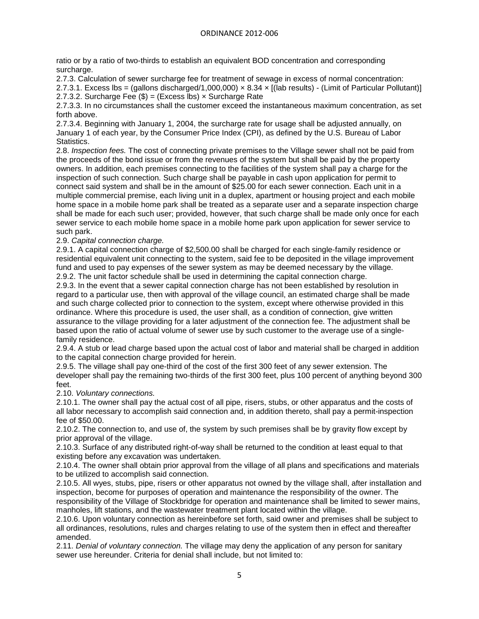ratio or by a ratio of two-thirds to establish an equivalent BOD concentration and corresponding surcharge.

2.7.3. Calculation of sewer surcharge fee for treatment of sewage in excess of normal concentration: 2.7.3.1. Excess lbs = (gallons discharged/1,000,000) × 8.34 × [(lab results) - (Limit of Particular Pollutant)] 2.7.3.2. Surcharge Fee  $(\$) = (Excess lbs) \times S$ urcharge Rate

2.7.3.3. In no circumstances shall the customer exceed the instantaneous maximum concentration, as set forth above.

2.7.3.4. Beginning with January 1, 2004, the surcharge rate for usage shall be adjusted annually, on January 1 of each year, by the Consumer Price Index (CPI), as defined by the U.S. Bureau of Labor Statistics.

2.8. *Inspection fees.* The cost of connecting private premises to the Village sewer shall not be paid from the proceeds of the bond issue or from the revenues of the system but shall be paid by the property owners. In addition, each premises connecting to the facilities of the system shall pay a charge for the inspection of such connection. Such charge shall be payable in cash upon application for permit to connect said system and shall be in the amount of \$25.00 for each sewer connection. Each unit in a multiple commercial premise, each living unit in a duplex, apartment or housing project and each mobile home space in a mobile home park shall be treated as a separate user and a separate inspection charge shall be made for each such user; provided, however, that such charge shall be made only once for each sewer service to each mobile home space in a mobile home park upon application for sewer service to such park.

# 2.9. *Capital connection charge.*

2.9.1. A capital connection charge of \$2,500.00 shall be charged for each single-family residence or residential equivalent unit connecting to the system, said fee to be deposited in the village improvement fund and used to pay expenses of the sewer system as may be deemed necessary by the village. 2.9.2. The unit factor schedule shall be used in determining the capital connection charge.

2.9.3. In the event that a sewer capital connection charge has not been established by resolution in regard to a particular use, then with approval of the village council, an estimated charge shall be made and such charge collected prior to connection to the system, except where otherwise provided in this ordinance. Where this procedure is used, the user shall, as a condition of connection, give written assurance to the village providing for a later adjustment of the connection fee. The adjustment shall be based upon the ratio of actual volume of sewer use by such customer to the average use of a singlefamily residence.

2.9.4. A stub or lead charge based upon the actual cost of labor and material shall be charged in addition to the capital connection charge provided for herein.

2.9.5. The village shall pay one-third of the cost of the first 300 feet of any sewer extension. The developer shall pay the remaining two-thirds of the first 300 feet, plus 100 percent of anything beyond 300 feet.

2.10. *Voluntary connections.*

2.10.1. The owner shall pay the actual cost of all pipe, risers, stubs, or other apparatus and the costs of all labor necessary to accomplish said connection and, in addition thereto, shall pay a permit-inspection fee of \$50.00.

2.10.2. The connection to, and use of, the system by such premises shall be by gravity flow except by prior approval of the village.

2.10.3. Surface of any distributed right-of-way shall be returned to the condition at least equal to that existing before any excavation was undertaken.

2.10.4. The owner shall obtain prior approval from the village of all plans and specifications and materials to be utilized to accomplish said connection.

2.10.5. All wyes, stubs, pipe, risers or other apparatus not owned by the village shall, after installation and inspection, become for purposes of operation and maintenance the responsibility of the owner. The responsibility of the Village of Stockbridge for operation and maintenance shall be limited to sewer mains, manholes, lift stations, and the wastewater treatment plant located within the village.

2.10.6. Upon voluntary connection as hereinbefore set forth, said owner and premises shall be subject to all ordinances, resolutions, rules and charges relating to use of the system then in effect and thereafter amended.

2.11. *Denial of voluntary connection.* The village may deny the application of any person for sanitary sewer use hereunder. Criteria for denial shall include, but not limited to: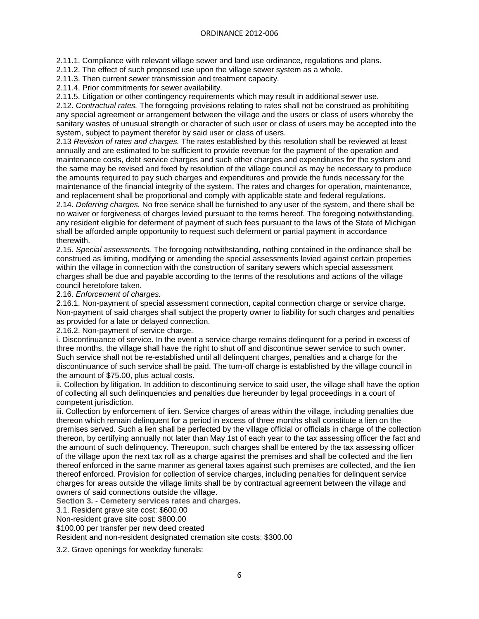2.11.1. Compliance with relevant village sewer and land use ordinance, regulations and plans.

2.11.2. The effect of such proposed use upon the village sewer system as a whole.

2.11.3. Then current sewer transmission and treatment capacity.

2.11.4. Prior commitments for sewer availability.

2.11.5. Litigation or other contingency requirements which may result in additional sewer use.

2.12. *Contractual rates.* The foregoing provisions relating to rates shall not be construed as prohibiting any special agreement or arrangement between the village and the users or class of users whereby the sanitary wastes of unusual strength or character of such user or class of users may be accepted into the system, subject to payment therefor by said user or class of users.

2.13 *Revision of rates and charges.* The rates established by this resolution shall be reviewed at least annually and are estimated to be sufficient to provide revenue for the payment of the operation and maintenance costs, debt service charges and such other charges and expenditures for the system and the same may be revised and fixed by resolution of the village council as may be necessary to produce the amounts required to pay such charges and expenditures and provide the funds necessary for the maintenance of the financial integrity of the system. The rates and charges for operation, maintenance, and replacement shall be proportional and comply with applicable state and federal regulations.

2.14. *Deferring charges.* No free service shall be furnished to any user of the system, and there shall be no waiver or forgiveness of charges levied pursuant to the terms hereof. The foregoing notwithstanding, any resident eligible for deferment of payment of such fees pursuant to the laws of the State of Michigan shall be afforded ample opportunity to request such deferment or partial payment in accordance therewith.

2.15. *Special assessments.* The foregoing notwithstanding, nothing contained in the ordinance shall be construed as limiting, modifying or amending the special assessments levied against certain properties within the village in connection with the construction of sanitary sewers which special assessment charges shall be due and payable according to the terms of the resolutions and actions of the village council heretofore taken.

2.16. *Enforcement of charges.*

2.16.1. Non-payment of special assessment connection, capital connection charge or service charge. Non-payment of said charges shall subject the property owner to liability for such charges and penalties as provided for a late or delayed connection.

2.16.2. Non-payment of service charge.

i. Discontinuance of service. In the event a service charge remains delinquent for a period in excess of three months, the village shall have the right to shut off and discontinue sewer service to such owner. Such service shall not be re-established until all delinquent charges, penalties and a charge for the discontinuance of such service shall be paid. The turn-off charge is established by the village council in the amount of \$75.00, plus actual costs.

ii. Collection by litigation. In addition to discontinuing service to said user, the village shall have the option of collecting all such delinquencies and penalties due hereunder by legal proceedings in a court of competent jurisdiction.

iii. Collection by enforcement of lien. Service charges of areas within the village, including penalties due thereon which remain delinquent for a period in excess of three months shall constitute a lien on the premises served. Such a lien shall be perfected by the village official or officials in charge of the collection thereon, by certifying annually not later than May 1st of each year to the tax assessing officer the fact and the amount of such delinquency. Thereupon, such charges shall be entered by the tax assessing officer of the village upon the next tax roll as a charge against the premises and shall be collected and the lien thereof enforced in the same manner as general taxes against such premises are collected, and the lien thereof enforced. Provision for collection of service charges, including penalties for delinquent service charges for areas outside the village limits shall be by contractual agreement between the village and owners of said connections outside the village.

**Section 3. - Cemetery services rates and charges.**

3.1. Resident grave site cost: \$600.00

Non-resident grave site cost: \$800.00

\$100.00 per transfer per new deed created

Resident and non-resident designated cremation site costs: \$300.00

3.2. Grave openings for weekday funerals: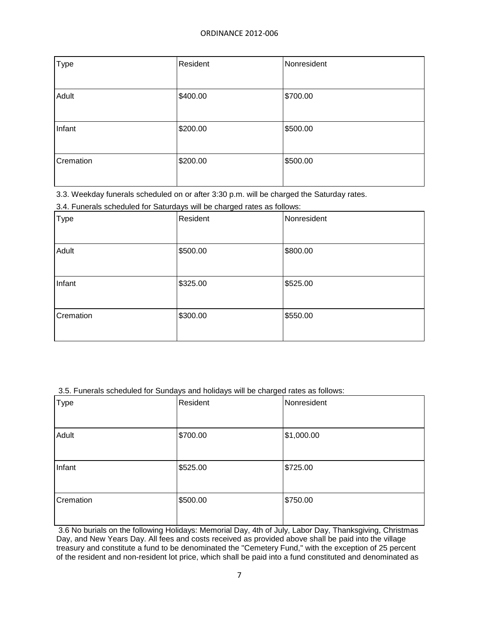| <b>Type</b> | Resident | Nonresident |
|-------------|----------|-------------|
|             |          |             |
| Adult       | \$400.00 | \$700.00    |
|             |          |             |
| Infant      | \$200.00 | \$500.00    |
|             |          |             |
| Cremation   | \$200.00 | \$500.00    |
|             |          |             |

3.3. Weekday funerals scheduled on or after 3:30 p.m. will be charged the Saturday rates.

3.4. Funerals scheduled for Saturdays will be charged rates as follows:

| <b>Type</b> | Resident | Nonresident |
|-------------|----------|-------------|
| Adult       | \$500.00 | \$800.00    |
| Infant      | \$325.00 | \$525.00    |
| Cremation   | \$300.00 | \$550.00    |

3.5. Funerals scheduled for Sundays and holidays will be charged rates as follows:

| <b>Type</b> | Resident | Nonresident |
|-------------|----------|-------------|
| Adult       | \$700.00 | \$1,000.00  |
| Infant      | \$525.00 | \$725.00    |
| Cremation   | \$500.00 | \$750.00    |

3.6 No burials on the following Holidays: Memorial Day, 4th of July, Labor Day, Thanksgiving, Christmas Day, and New Years Day. All fees and costs received as provided above shall be paid into the village treasury and constitute a fund to be denominated the "Cemetery Fund," with the exception of 25 percent of the resident and non-resident lot price, which shall be paid into a fund constituted and denominated as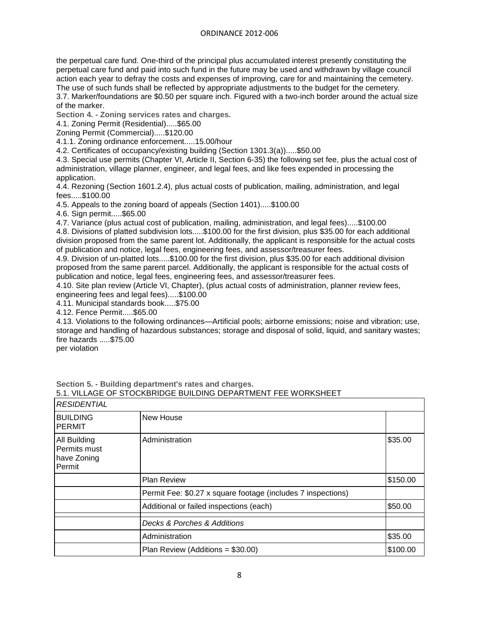the perpetual care fund. One-third of the principal plus accumulated interest presently constituting the perpetual care fund and paid into such fund in the future may be used and withdrawn by village council action each year to defray the costs and expenses of improving, care for and maintaining the cemetery. The use of such funds shall be reflected by appropriate adjustments to the budget for the cemetery.

3.7. Marker/foundations are \$0.50 per square inch. Figured with a two-inch border around the actual size of the marker.

**Section 4. - Zoning services rates and charges.**

4.1. Zoning Permit (Residential).....\$65.00

Zoning Permit (Commercial).....\$120.00

4.1.1. Zoning ordinance enforcement.....15.00/hour

4.2. Certificates of occupancy/existing building (Section 1301.3(a)).....\$50.00

4.3. Special use permits (Chapter VI, Article II, Section 6-35) the following set fee, plus the actual cost of administration, village planner, engineer, and legal fees, and like fees expended in processing the application.

4.4. Rezoning (Section 1601.2.4), plus actual costs of publication, mailing, administration, and legal fees.....\$100.00

4.5. Appeals to the zoning board of appeals (Section 1401).....\$100.00

4.6. Sign permit.....\$65.00

4.7. Variance (plus actual cost of publication, mailing, administration, and legal fees).....\$100.00

4.8. Divisions of platted subdivision lots.....\$100.00 for the first division, plus \$35.00 for each additional division proposed from the same parent lot. Additionally, the applicant is responsible for the actual costs of publication and notice, legal fees, engineering fees, and assessor/treasurer fees.

4.9. Division of un-platted lots.....\$100.00 for the first division, plus \$35.00 for each additional division proposed from the same parent parcel. Additionally, the applicant is responsible for the actual costs of publication and notice, legal fees, engineering fees, and assessor/treasurer fees.

4.10. Site plan review (Article VI, Chapter), (plus actual costs of administration, planner review fees, engineering fees and legal fees).....\$100.00

4.11. Municipal standards book.....\$75.00

4.12. Fence Permit.....\$65.00

4.13. Violations to the following ordinances—Artificial pools; airborne emissions; noise and vibration; use, storage and handling of hazardous substances; storage and disposal of solid, liquid, and sanitary wastes; fire hazards .....\$75.00

per violation

| <b>RESIDENTIAL</b>                                    |                                                              |          |
|-------------------------------------------------------|--------------------------------------------------------------|----------|
| <b>BUILDING</b><br><b>PERMIT</b>                      | New House                                                    |          |
| All Building<br>Permits must<br>have Zoning<br>Permit | Administration                                               | \$35.00  |
|                                                       | <b>Plan Review</b>                                           | \$150.00 |
|                                                       | Permit Fee: \$0.27 x square footage (includes 7 inspections) |          |
|                                                       | Additional or failed inspections (each)                      | \$50.00  |
|                                                       | Decks & Porches & Additions                                  |          |
|                                                       | Administration                                               | \$35.00  |
|                                                       | Plan Review (Additions = \$30.00)                            | \$100.00 |

**Section 5. - Building department's rates and charges.** 5.1. VILLAGE OF STOCKBRIDGE BUILDING DEPARTMENT FEE WORKSHEET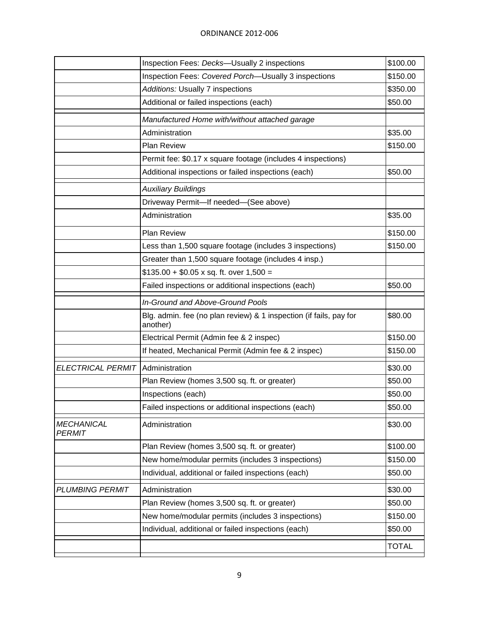|                                    | Inspection Fees: Decks-Usually 2 inspections                                   | \$100.00     |
|------------------------------------|--------------------------------------------------------------------------------|--------------|
|                                    | Inspection Fees: Covered Porch-Usually 3 inspections                           | \$150.00     |
|                                    | Additions: Usually 7 inspections                                               | \$350.00     |
|                                    | Additional or failed inspections (each)                                        | \$50.00      |
|                                    | Manufactured Home with/without attached garage                                 |              |
|                                    | Administration                                                                 | \$35.00      |
|                                    | <b>Plan Review</b>                                                             | \$150.00     |
|                                    | Permit fee: \$0.17 x square footage (includes 4 inspections)                   |              |
|                                    | Additional inspections or failed inspections (each)                            | \$50.00      |
|                                    | <b>Auxiliary Buildings</b>                                                     |              |
|                                    | Driveway Permit-If needed-(See above)                                          |              |
|                                    | Administration                                                                 | \$35.00      |
|                                    | <b>Plan Review</b>                                                             | \$150.00     |
|                                    | Less than 1,500 square footage (includes 3 inspections)                        | \$150.00     |
|                                    | Greater than 1,500 square footage (includes 4 insp.)                           |              |
|                                    | $$135.00 + $0.05 \times sq.$ ft. over 1,500 =                                  |              |
|                                    | Failed inspections or additional inspections (each)                            | \$50.00      |
|                                    | In-Ground and Above-Ground Pools                                               |              |
|                                    | Blg. admin. fee (no plan review) & 1 inspection (if fails, pay for<br>another) | \$80.00      |
|                                    | Electrical Permit (Admin fee & 2 inspec)                                       | \$150.00     |
|                                    | If heated, Mechanical Permit (Admin fee & 2 inspec)                            | \$150.00     |
| <b>ELECTRICAL PERMIT</b>           | Administration                                                                 | \$30.00      |
|                                    | Plan Review (homes 3,500 sq. ft. or greater)                                   | \$50.00      |
|                                    | Inspections (each)                                                             | \$50.00      |
|                                    | Failed inspections or additional inspections (each)                            | \$50.00      |
| <b>MECHANICAL</b><br><b>PERMIT</b> | Administration                                                                 | \$30.00      |
|                                    | Plan Review (homes 3,500 sq. ft. or greater)                                   | \$100.00     |
|                                    | New home/modular permits (includes 3 inspections)                              | \$150.00     |
|                                    | Individual, additional or failed inspections (each)                            | \$50.00      |
| <b>PLUMBING PERMIT</b>             | Administration                                                                 | \$30.00      |
|                                    | Plan Review (homes 3,500 sq. ft. or greater)                                   | \$50.00      |
|                                    | New home/modular permits (includes 3 inspections)                              | \$150.00     |
|                                    | Individual, additional or failed inspections (each)                            | \$50.00      |
|                                    |                                                                                | <b>TOTAL</b> |
|                                    |                                                                                |              |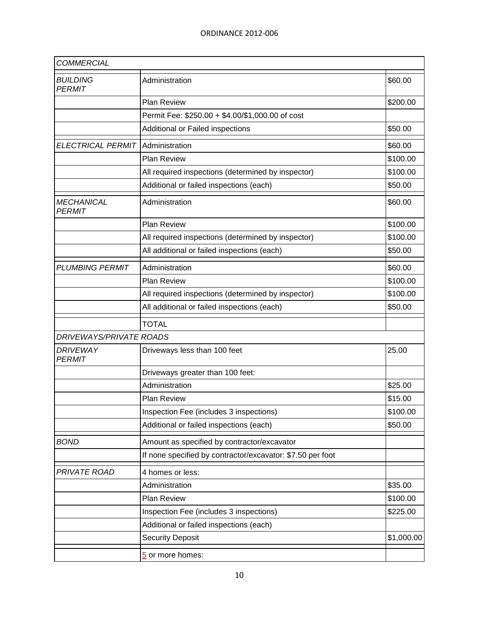| <b>COMMERCIAL</b>                  |                                                            |            |
|------------------------------------|------------------------------------------------------------|------------|
| <b>BUILDING</b><br><b>PERMIT</b>   | Administration                                             | \$60.00    |
|                                    | <b>Plan Review</b>                                         | \$200.00   |
|                                    | Permit Fee: \$250.00 + \$4.00/\$1,000.00 of cost           |            |
|                                    | Additional or Failed inspections                           | \$50.00    |
| ELECTRICAL PERMIT Administration   |                                                            | \$60.00    |
|                                    | <b>Plan Review</b>                                         | \$100.00   |
|                                    | All required inspections (determined by inspector)         | \$100.00   |
|                                    | Additional or failed inspections (each)                    | \$50.00    |
| <b>MECHANICAL</b><br><b>PERMIT</b> | Administration                                             | \$60.00    |
|                                    | <b>Plan Review</b>                                         | \$100.00   |
|                                    | All required inspections (determined by inspector)         | \$100.00   |
|                                    | All additional or failed inspections (each)                | \$50.00    |
| <b>PLUMBING PERMIT</b>             | Administration                                             | \$60.00    |
|                                    | <b>Plan Review</b>                                         | \$100.00   |
|                                    | All required inspections (determined by inspector)         | \$100.00   |
|                                    | All additional or failed inspections (each)                | \$50.00    |
|                                    | <b>TOTAL</b>                                               |            |
| <b>DRIVEWAYS/PRIVATE ROADS</b>     |                                                            |            |
| <b>DRIVEWAY</b><br><b>PERMIT</b>   | Driveways less than 100 feet                               | 25.00      |
|                                    | Driveways greater than 100 feet:                           |            |
|                                    | Administration                                             | \$25.00    |
|                                    | <b>Plan Review</b>                                         | \$15.00    |
|                                    | Inspection Fee (includes 3 inspections)                    | \$100.00   |
|                                    | Additional or failed inspections (each)                    | \$50.00    |
| <b>BOND</b>                        | Amount as specified by contractor/excavator                |            |
|                                    | If none specified by contractor/excavator: \$7.50 per foot |            |
| PRIVATE ROAD                       | 4 homes or less:                                           |            |
|                                    | Administration                                             | \$35.00    |
|                                    | <b>Plan Review</b>                                         | \$100.00   |
|                                    | Inspection Fee (includes 3 inspections)                    | \$225.00   |
|                                    | Additional or failed inspections (each)                    |            |
|                                    | <b>Security Deposit</b>                                    | \$1,000.00 |
|                                    | 5 or more homes:                                           |            |